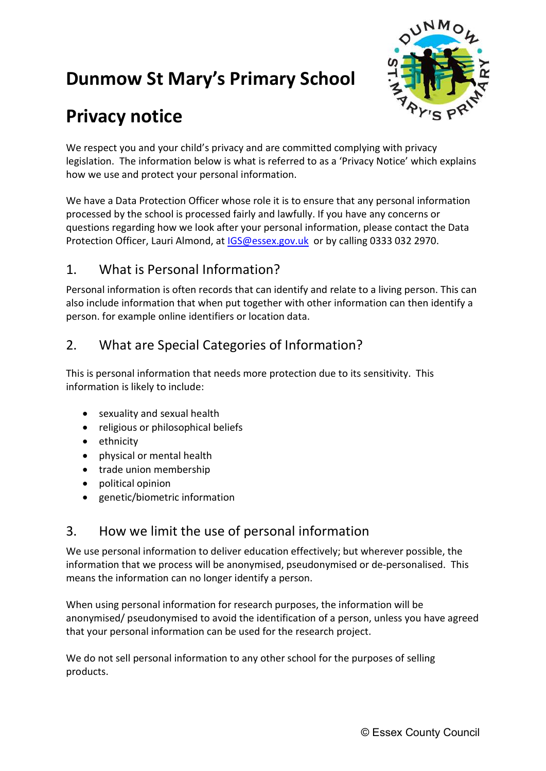# Dunmow St Mary's Primary School



## Privacy notice

We respect you and your child's privacy and are committed complying with privacy legislation. The information below is what is referred to as a 'Privacy Notice' which explains how we use and protect your personal information.

We have a Data Protection Officer whose role it is to ensure that any personal information processed by the school is processed fairly and lawfully. If you have any concerns or questions regarding how we look after your personal information, please contact the Data Protection Officer, Lauri Almond, at **IGS@essex.gov.uk** or by calling 0333 032 2970.

### 1. What is Personal Information?

Personal information is often records that can identify and relate to a living person. This can also include information that when put together with other information can then identify a person. for example online identifiers or location data.

### 2. What are Special Categories of Information?

This is personal information that needs more protection due to its sensitivity. This information is likely to include:

- sexuality and sexual health
- religious or philosophical beliefs
- ethnicity
- physical or mental health
- trade union membership
- political opinion
- genetic/biometric information

### 3. How we limit the use of personal information

We use personal information to deliver education effectively; but wherever possible, the information that we process will be anonymised, pseudonymised or de-personalised. This means the information can no longer identify a person.

When using personal information for research purposes, the information will be anonymised/ pseudonymised to avoid the identification of a person, unless you have agreed that your personal information can be used for the research project.

We do not sell personal information to any other school for the purposes of selling products.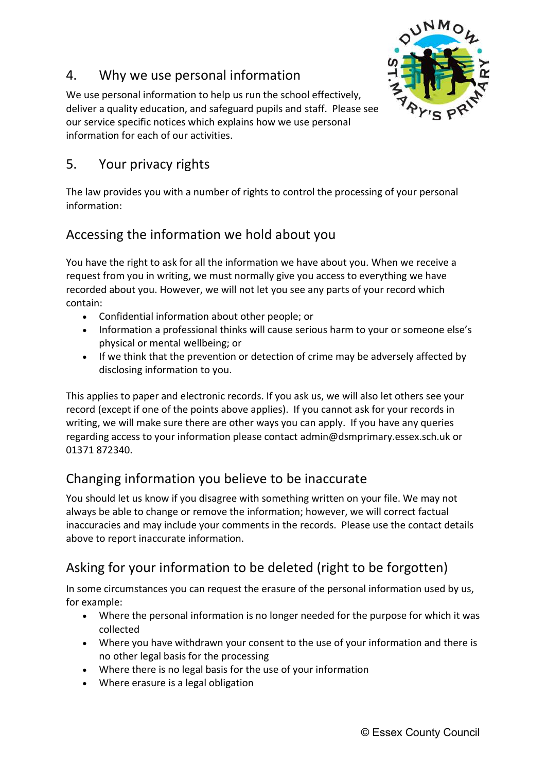#### 4. Why we use personal information



We use personal information to help us run the school effectively, deliver a quality education, and safeguard pupils and staff. Please see our service specific notices which explains how we use personal information for each of our activities.

#### 5. Your privacy rights

The law provides you with a number of rights to control the processing of your personal information:

### Accessing the information we hold about you

You have the right to ask for all the information we have about you. When we receive a request from you in writing, we must normally give you access to everything we have recorded about you. However, we will not let you see any parts of your record which contain:

- Confidential information about other people; or
- Information a professional thinks will cause serious harm to your or someone else's physical or mental wellbeing; or
- If we think that the prevention or detection of crime may be adversely affected by disclosing information to you.

This applies to paper and electronic records. If you ask us, we will also let others see your record (except if one of the points above applies). If you cannot ask for your records in writing, we will make sure there are other ways you can apply. If you have any queries regarding access to your information please contact admin@dsmprimary.essex.sch.uk or 01371 872340.

### Changing information you believe to be inaccurate

You should let us know if you disagree with something written on your file. We may not always be able to change or remove the information; however, we will correct factual inaccuracies and may include your comments in the records. Please use the contact details above to report inaccurate information.

## Asking for your information to be deleted (right to be forgotten)

In some circumstances you can request the erasure of the personal information used by us, for example:

- Where the personal information is no longer needed for the purpose for which it was collected
- Where you have withdrawn your consent to the use of your information and there is no other legal basis for the processing
- Where there is no legal basis for the use of your information
- Where erasure is a legal obligation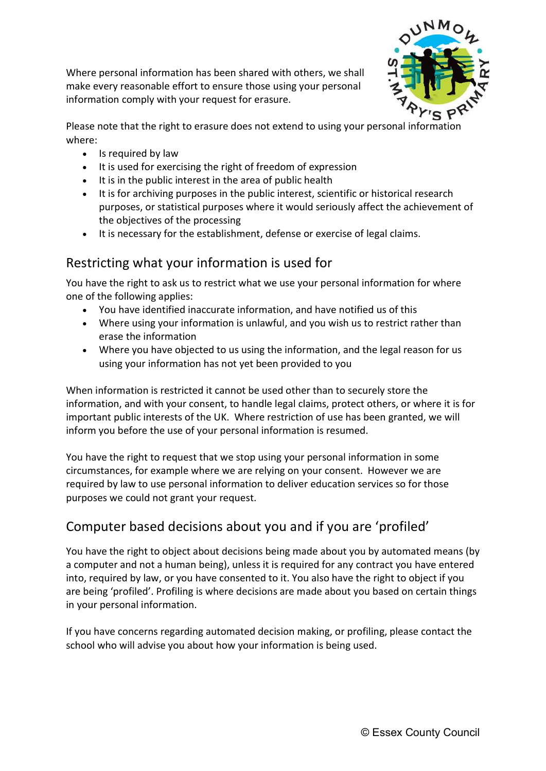Where personal information has been shared with others, we shall make every reasonable effort to ensure those using your personal information comply with your request for erasure.



Please note that the right to erasure does not extend to using your personal information where:

- Is required by law
- It is used for exercising the right of freedom of expression
- It is in the public interest in the area of public health
- It is for archiving purposes in the public interest, scientific or historical research purposes, or statistical purposes where it would seriously affect the achievement of the objectives of the processing
- It is necessary for the establishment, defense or exercise of legal claims.

#### Restricting what your information is used for

You have the right to ask us to restrict what we use your personal information for where one of the following applies:

- You have identified inaccurate information, and have notified us of this
- Where using your information is unlawful, and you wish us to restrict rather than erase the information
- Where you have objected to us using the information, and the legal reason for us using your information has not yet been provided to you

When information is restricted it cannot be used other than to securely store the information, and with your consent, to handle legal claims, protect others, or where it is for important public interests of the UK. Where restriction of use has been granted, we will inform you before the use of your personal information is resumed.

You have the right to request that we stop using your personal information in some circumstances, for example where we are relying on your consent. However we are required by law to use personal information to deliver education services so for those purposes we could not grant your request.

## Computer based decisions about you and if you are 'profiled'

You have the right to object about decisions being made about you by automated means (by a computer and not a human being), unless it is required for any contract you have entered into, required by law, or you have consented to it. You also have the right to object if you are being 'profiled'. Profiling is where decisions are made about you based on certain things in your personal information.

If you have concerns regarding automated decision making, or profiling, please contact the school who will advise you about how your information is being used.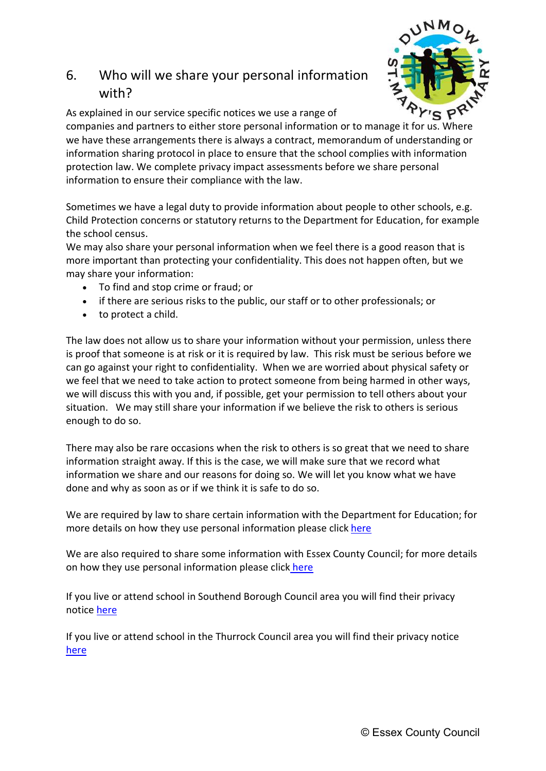## 6. Who will we share your personal information with?



As explained in our service specific notices we use a range of

companies and partners to either store personal information or to manage it for us. Where we have these arrangements there is always a contract, memorandum of understanding or information sharing protocol in place to ensure that the school complies with information protection law. We complete privacy impact assessments before we share personal information to ensure their compliance with the law.

Sometimes we have a legal duty to provide information about people to other schools, e.g. Child Protection concerns or statutory returns to the Department for Education, for example the school census.

We may also share your personal information when we feel there is a good reason that is more important than protecting your confidentiality. This does not happen often, but we may share your information:

- To find and stop crime or fraud; or
- if there are serious risks to the public, our staff or to other professionals; or
- to protect a child.

The law does not allow us to share your information without your permission, unless there is proof that someone is at risk or it is required by law. This risk must be serious before we can go against your right to confidentiality. When we are worried about physical safety or we feel that we need to take action to protect someone from being harmed in other ways, we will discuss this with you and, if possible, get your permission to tell others about your situation. We may still share your information if we believe the risk to others is serious enough to do so.

There may also be rare occasions when the risk to others is so great that we need to share information straight away. If this is the case, we will make sure that we record what information we share and our reasons for doing so. We will let you know what we have done and why as soon as or if we think it is safe to do so.

We are required by law to share certain information with the Department for Education; for more details on how they use personal information please click here

We are also required to share some information with Essex County Council; for more details on how they use personal information please click here

If you live or attend school in Southend Borough Council area you will find their privacy notice here

If you live or attend school in the Thurrock Council area you will find their privacy notice here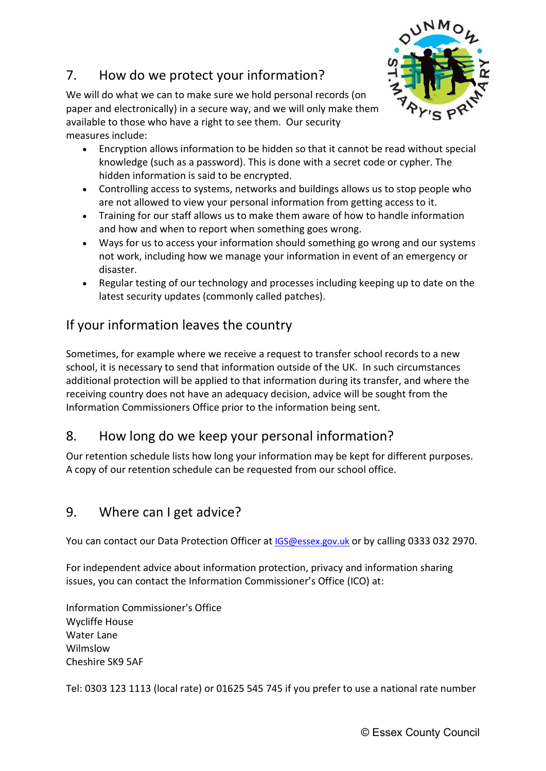### 7. How do we protect your information?



We will do what we can to make sure we hold personal records (on paper and electronically) in a secure way, and we will only make them available to those who have a right to see them. Our security measures include:

- Encryption allows information to be hidden so that it cannot be read without special knowledge (such as a password). This is done with a secret code or cypher. The hidden information is said to be encrypted.
- Controlling access to systems, networks and buildings allows us to stop people who are not allowed to view your personal information from getting access to it.
- Training for our staff allows us to make them aware of how to handle information and how and when to report when something goes wrong.
- Ways for us to access your information should something go wrong and our systems not work, including how we manage your information in event of an emergency or disaster.
- Regular testing of our technology and processes including keeping up to date on the latest security updates (commonly called patches).

### If your information leaves the country

Sometimes, for example where we receive a request to transfer school records to a new school, it is necessary to send that information outside of the UK. In such circumstances additional protection will be applied to that information during its transfer, and where the receiving country does not have an adequacy decision, advice will be sought from the Information Commissioners Office prior to the information being sent.

### 8. How long do we keep your personal information?

Our retention schedule lists how long your information may be kept for different purposes. A copy of our retention schedule can be requested from our school office.

#### 9. Where can I get advice?

You can contact our Data Protection Officer at IGS@essex.gov.uk or by calling 0333 032 2970.

For independent advice about information protection, privacy and information sharing issues, you can contact the Information Commissioner's Office (ICO) at:

Information Commissioner's Office Wycliffe House Water Lane Wilmslow Cheshire SK9 5AF

Tel: 0303 123 1113 (local rate) or 01625 545 745 if you prefer to use a national rate number